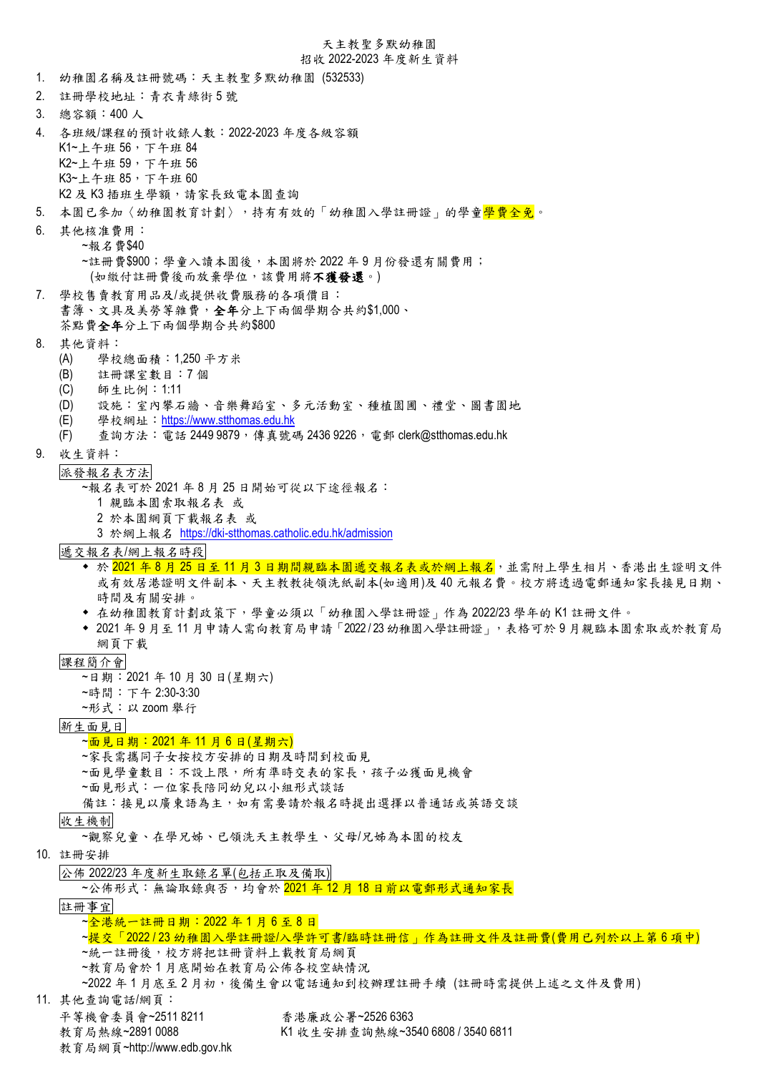#### 天主教聖多默幼稚園

#### 招收 2022-2023 年度新生資料

- 1. 幼稚園名稱及註冊號碼:天主教聖多默幼稚園 (532533)
- 2. 註冊學校地址:青衣青綠街 5 號
- 3. 總容額:400 人
- 4. 各班級/課程的預計收錄人數:2022-2023 年度各級容額 K1~上午班 56,下午班 84 K2~上午班 59,下午班 56 K3~上午班 85,下午班 60 K2 及 K3 插班生學額,請家長致電本園查詢
- 5. 本園已參加〈幼稚園教育計劃〉,持有有效的「幼稚園入學註冊證」的學童<mark>學費全免</mark>。
- 6. 其他核准費用: ~報名費\$40 ~註冊費\$900;學童入讀本園後,本園將於 2022 年 9 月份發還有關費用; (如繳付註冊費後而放棄學位,該費用將不獲發還。)
- 7. 學校售賣教育用品及/或提供收費服務的各項價目: 書簿、文具及美勞等雜費,全年分上下兩個學期合共約\$1,000、 茶點費全年分上下兩個學期合共約\$800
- 8. 其他資料:
	- (A) 學校總面積:1,250 平方米
	- (B) 註冊課室數目:7 個
	- (C) 師生比例:1:11
	- (D) 設施:室內攀石牆、音樂舞蹈室、多元活動室、種植園圃、禮堂、圖書園地
	- (E) 學校網址:[https://www.stthomas.edu.hk](https://www.stthomas.edu.hk/)
	- (F) 查詢方法:電話 2449 9879,傳真號碼 2436 9226,電郵 clerk@stthomas.edu.hk
- 9. 收生資料:
	- 派發報名表方法

~報名表可於 2021 年 8 月 25 日開始可從以下途徑報名︰

- 1 親臨本園索取報名表 或
- 2 於本園網頁下載報名表 或
- 3 於網上報名 <https://dki-stthomas.catholic.edu.hk/admission>
- 遞交報名表/網上報名時段
	- ◆ 於 2021 年 8 月 25 日至 11 月 3 日期間親臨本園遞交報名表或於網上報名,並需附上學生相片、香港出生證明文件 或有效居港證明文件副本、天主教教徒領洗紙副本(如適用)及 40 元報名費。校方將透過電郵通知家長接見日期、 時間及有關安排。
	- ◆ 在幼稚園教育計劃政策下,學童必須以「幼稚園入學註冊證」作為 2022/23 學年的 K1 註冊文件。
	- ◆ 2021年9月至11月申請人需向教育局申請「2022/23 幼稚園入學註冊證」,表格可於9月親臨本園索取或於教育局 網頁下載
- 課程簡介會
	- ~日期︰2021 年 10 月 30 日(星期六)
	- ~時間︰下午 2:30-3:30
	- ~形式︰以 zoom 舉行
- 新生面見日

#### ~面見日期: 2021 年 11 月 6 日(星期六)

- ~家長需攜同子女按校方安排的日期及時間到校面見
- ~面見學童數目:不設上限,所有準時交表的家長,孩子必獲面見機會
- ~面見形式︰一位家長陪同幼兒以小組形式談話
- 備註:接見以廣東語為主,如有需要請於報名時提出選擇以普通話或英語交談

收生機制

- ~觀察兒童、在學兄姊、已領洗天主教學生、父母/兄姊為本園的校友
- 10. 註冊安排
	- 公佈 2022/23 年度新生取錄名單(包括正取及備取)

~公佈形式:無論取錄與否,均會於 2021年12月18日前以電郵形式通知家長

註冊事宜

- ~全港統一註冊日期: 2022 年 1 月 6 至 8 日
- ~提交「2022123 幼稚園入學註冊證/入學許可書/臨時註冊信」作為註冊文件及註冊費(費用已列於以上第6項中)
- ~統一註冊後,校方將把註冊資料上載教育局網頁
- ~教育局會於 1 月底開始在教育局公佈各校空缺情況
- ~2022 年 1 月底至 2 月初,後備生會以電話通知到校辦理註冊手續 (註冊時需提供上述之文件及費用)
- 11. 其他查詢電話/網頁:
	- 平等機會委員會~2511 8211 香港廉政公署~2526 6363
	- 教育局熱線~2891 0088 K1 收生安排查詢熱線~3540 6808 / 3540 6811
	- 教育局網頁~http://www.edb.gov.hk